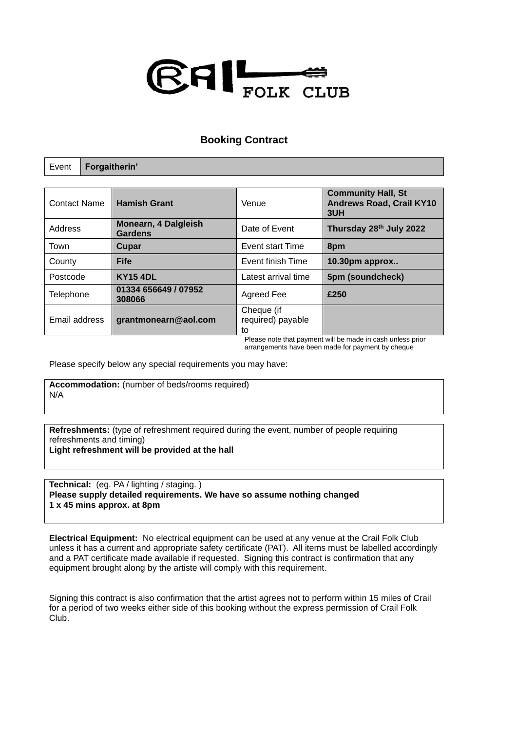

## **Booking Contract**

| Event               | Forgaitherin'                          |                      |                                                                             |                                                                     |  |
|---------------------|----------------------------------------|----------------------|-----------------------------------------------------------------------------|---------------------------------------------------------------------|--|
|                     |                                        |                      |                                                                             |                                                                     |  |
| <b>Contact Name</b> | <b>Hamish Grant</b>                    |                      | Venue                                                                       | <b>Community Hall, St</b><br><b>Andrews Road, Crail KY10</b><br>3UH |  |
| Address             | Monearn, 4 Dalgleish<br><b>Gardens</b> |                      | Date of Event                                                               | Thursday 28th July 2022                                             |  |
| Town                | Cupar                                  |                      | Event start Time                                                            | 8pm                                                                 |  |
| County              | <b>Fife</b>                            |                      | Event finish Time                                                           | 10.30pm approx                                                      |  |
| Postcode            | <b>KY15 4DL</b>                        |                      | Latest arrival time                                                         | 5pm (soundcheck)                                                    |  |
| Telephone           | 01334 656649 / 07952<br>308066         |                      | Agreed Fee                                                                  | £250                                                                |  |
| Email address       |                                        | grantmonearn@aol.com | Cheque (if<br>required) payable<br>to<br>- -<br>$\sim$ $\sim$ $\sim$ $\sim$ | .<br>$\sim$<br>$\cdots$                                             |  |

Please note that payment will be made in cash unless prior arrangements have been made for payment by cheque

Please specify below any special requirements you may have:

**Accommodation:** (number of beds/rooms required) N/A

**Refreshments:** (type of refreshment required during the event, number of people requiring refreshments and timing)

**Light refreshment will be provided at the hall**

**Technical:** (eg. PA / lighting / staging. ) **Please supply detailed requirements. We have so assume nothing changed 1 x 45 mins approx. at 8pm**

**Electrical Equipment:** No electrical equipment can be used at any venue at the Crail Folk Club unless it has a current and appropriate safety certificate (PAT). All items must be labelled accordingly and a PAT certificate made available if requested. Signing this contract is confirmation that any equipment brought along by the artiste will comply with this requirement.

Signing this contract is also confirmation that the artist agrees not to perform within 15 miles of Crail for a period of two weeks either side of this booking without the express permission of Crail Folk Club.